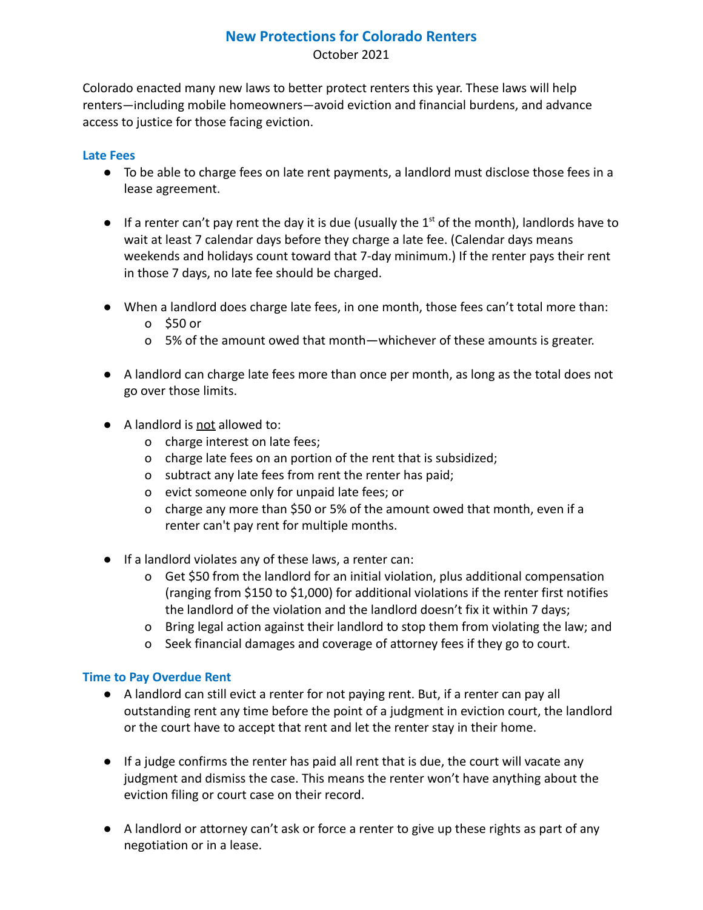# **New Protections for Colorado Renters**

October 2021

Colorado enacted many new laws to better protect renters this year. These laws will help renters—including mobile homeowners—avoid eviction and financial burdens, and advance access to justice for those facing eviction.

# **Late Fees**

- To be able to charge fees on late rent payments, a landlord must disclose those fees in a lease agreement.
- $\bullet$  If a renter can't pay rent the day it is due (usually the 1<sup>st</sup> of the month), landlords have to wait at least 7 calendar days before they charge a late fee. (Calendar days means weekends and holidays count toward that 7-day minimum.) If the renter pays their rent in those 7 days, no late fee should be charged.
- When a landlord does charge late fees, in one month, those fees can't total more than:
	- o \$50 or
	- o 5% of the amount owed that month—whichever of these amounts is greater.
- A landlord can charge late fees more than once per month, as long as the total does not go over those limits.
- A landlord is not allowed to:
	- o charge interest on late fees;
	- o charge late fees on an portion of the rent that is subsidized;
	- o subtract any late fees from rent the renter has paid;
	- o evict someone only for unpaid late fees; or
	- o charge any more than \$50 or 5% of the amount owed that month, even if a renter can't pay rent for multiple months.
- If a landlord violates any of these laws, a renter can:
	- o Get \$50 from the landlord for an initial violation, plus additional compensation (ranging from \$150 to \$1,000) for additional violations if the renter first notifies the landlord of the violation and the landlord doesn't fix it within 7 days;
	- o Bring legal action against their landlord to stop them from violating the law; and
	- o Seek financial damages and coverage of attorney fees if they go to court.

# **Time to Pay Overdue Rent**

- A landlord can still evict a renter for not paying rent. But, if a renter can pay all outstanding rent any time before the point of a judgment in eviction court, the landlord or the court have to accept that rent and let the renter stay in their home.
- If a judge confirms the renter has paid all rent that is due, the court will vacate any judgment and dismiss the case. This means the renter won't have anything about the eviction filing or court case on their record.
- **●** A landlord or attorney can't ask or force a renter to give up these rights as part of any negotiation or in a lease.